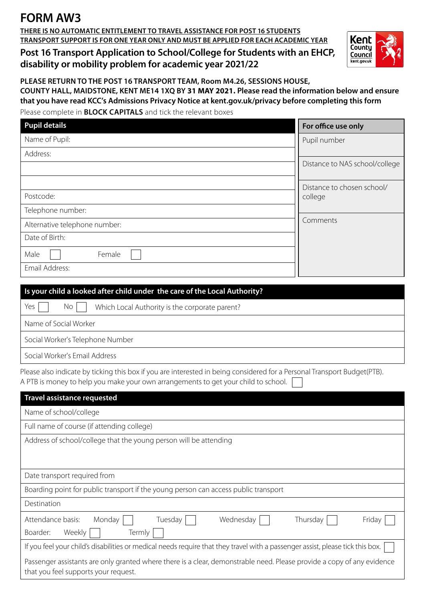## **FORM AW3**

**THERE IS NO AUTOMATIC ENTITLEMENT TO TRAVEL ASSISTANCE FOR POST 16 STUDENTS TRANSPORT SUPPORT IS FOR ONE YEAR ONLY AND MUST BE APPLIED FOR EACH ACADEMIC YEAR**

**Post 16 Transport Application to School/College for Students with an EHCP, disability or mobility problem for academic year 2021/22**



**PLEASE RETURN TO THE POST 16 TRANSPORT TEAM, Room M4.26, SESSIONS HOUSE, COUNTY HALL, MAIDSTONE, KENT ME14 1XQ BY 31 MAY 2021. Please read the information below and ensure that you have read KCC's Admissions Privacy Notice at kent.gov.uk/privacy before completing this form**

Please complete in **BLOCK CAPITALS** and tick the relevant boxes

| <b>Pupil details</b>          | For office use only                   |
|-------------------------------|---------------------------------------|
| Name of Pupil:                | Pupil number                          |
| Address:                      |                                       |
|                               | Distance to NAS school/college        |
|                               | Distance to chosen school/<br>college |
| Postcode:                     |                                       |
| Telephone number:             |                                       |
| Alternative telephone number: | Comments                              |
| Date of Birth:                |                                       |
| Female<br>Male                |                                       |
| Email Address:                |                                       |

| Is your child a looked after child under the care of the Local Authority? |  |  |
|---------------------------------------------------------------------------|--|--|
| Yes<br>$No$    <br>Which Local Authority is the corporate parent?         |  |  |
| Name of Social Worker                                                     |  |  |
| Social Worker's Telephone Number                                          |  |  |
| Social Worker's Email Address                                             |  |  |

Please also indicate by ticking this box if you are interested in being considered for a Personal Transport Budget(PTB). A PTB is money to help you make your own arrangements to get your child to school. [

| <b>Travel assistance requested</b>                                                                                                                             |  |  |
|----------------------------------------------------------------------------------------------------------------------------------------------------------------|--|--|
| Name of school/college                                                                                                                                         |  |  |
| Full name of course (if attending college)                                                                                                                     |  |  |
| Address of school/college that the young person will be attending                                                                                              |  |  |
|                                                                                                                                                                |  |  |
| Date transport required from                                                                                                                                   |  |  |
| Boarding point for public transport if the young person can access public transport                                                                            |  |  |
| Destination                                                                                                                                                    |  |  |
| Wednesday<br>Attendance basis:<br>Monday<br>Tuesday<br>Thursday<br>Friday                                                                                      |  |  |
| Weekly<br>Termly<br>Boarder:                                                                                                                                   |  |  |
| If you feel your child's disabilities or medical needs require that they travel with a passenger assist, please tick this box.                                 |  |  |
| Passenger assistants are only granted where there is a clear, demonstrable need. Please provide a copy of any evidence<br>that you feel supports your request. |  |  |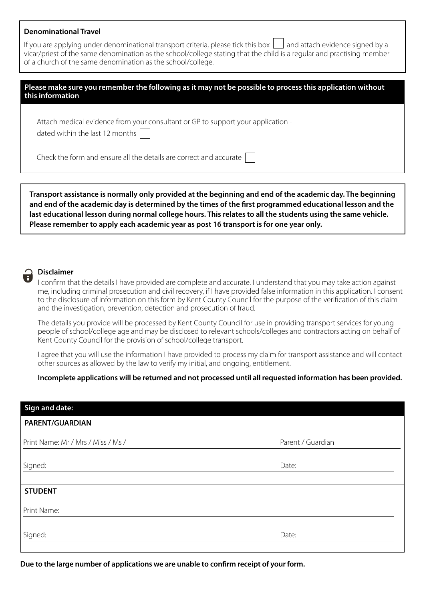## **Denominational Travel**

If you are applying under denominational transport criteria, please tick this box  $| \cdot |$  and attach evidence signed by a vicar/priest of the same denomination as the school/college stating that the child is a regular and practising member of a church of the same denomination as the school/college.

| Please make sure you remember the following as it may not be possible to process this application without<br>this information |  |
|-------------------------------------------------------------------------------------------------------------------------------|--|
|                                                                                                                               |  |

Attach medical evidence from your consultant or GP to support your application -

dated within the last 12 months

Check the form and ensure all the details are correct and accurate

**Transport assistance is normally only provided at the beginning and end of the academic day. The beginning and end of the academic day is determined by the times of the first programmed educational lesson and the last educational lesson during normal college hours. This relates to all the students using the same vehicle. Please remember to apply each academic year as post 16 transport is for one year only.**

## **Disclaimer**

I confirm that the details I have provided are complete and accurate. I understand that you may take action against me, including criminal prosecution and civil recovery, if I have provided false information in this application. I consent to the disclosure of information on this form by Kent County Council for the purpose of the verification of this claim and the investigation, prevention, detection and prosecution of fraud.

The details you provide will be processed by Kent County Council for use in providing transport services for young people of school/college age and may be disclosed to relevant schools/colleges and contractors acting on behalf of Kent County Council for the provision of school/college transport.

I agree that you will use the information I have provided to process my claim for transport assistance and will contact other sources as allowed by the law to verify my initial, and ongoing, entitlement.

**Incomplete applications will be returned and not processed until all requested information has been provided.** 

| <b>Sign and date:</b>              |                   |
|------------------------------------|-------------------|
| PARENT/GUARDIAN                    |                   |
| Print Name: Mr / Mrs / Miss / Ms / | Parent / Guardian |
| Signed:                            | Date:             |
| <b>STUDENT</b>                     |                   |
| Print Name:                        |                   |
| Signed:                            | Date:             |

**Due to the large number of applications we are unable to confirm receipt of your form.**